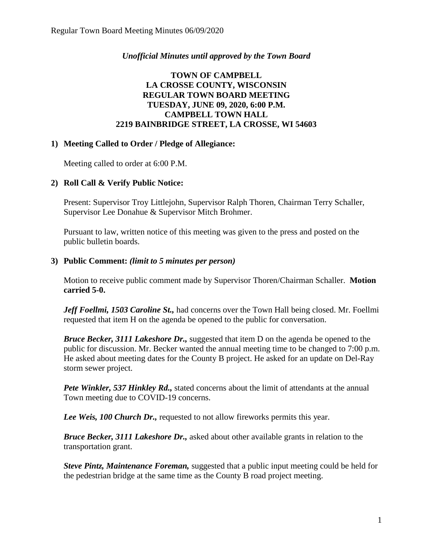## *Unofficial Minutes until approved by the Town Board*

## **TOWN OF CAMPBELL LA CROSSE COUNTY, WISCONSIN REGULAR TOWN BOARD MEETING TUESDAY, JUNE 09, 2020, 6:00 P.M. CAMPBELL TOWN HALL 2219 BAINBRIDGE STREET, LA CROSSE, WI 54603**

#### **1) Meeting Called to Order / Pledge of Allegiance:**

Meeting called to order at 6:00 P.M.

## **2) Roll Call & Verify Public Notice:**

Present: Supervisor Troy Littlejohn, Supervisor Ralph Thoren, Chairman Terry Schaller, Supervisor Lee Donahue & Supervisor Mitch Brohmer.

Pursuant to law, written notice of this meeting was given to the press and posted on the public bulletin boards.

## **3) Public Comment:** *(limit to 5 minutes per person)*

Motion to receive public comment made by Supervisor Thoren/Chairman Schaller. **Motion carried 5-0.**

*Jeff Foellmi, 1503 Caroline St.,* had concerns over the Town Hall being closed. Mr. Foellmi requested that item H on the agenda be opened to the public for conversation.

*Bruce Becker, 3111 Lakeshore Dr.,* suggested that item D on the agenda be opened to the public for discussion. Mr. Becker wanted the annual meeting time to be changed to 7:00 p.m. He asked about meeting dates for the County B project. He asked for an update on Del-Ray storm sewer project.

*Pete Winkler, 537 Hinkley Rd.,* stated concerns about the limit of attendants at the annual Town meeting due to COVID-19 concerns.

*Lee Weis, 100 Church Dr.,* requested to not allow fireworks permits this year.

*Bruce Becker, 3111 Lakeshore Dr.,* asked about other available grants in relation to the transportation grant.

*Steve Pintz, Maintenance Foreman,* suggested that a public input meeting could be held for the pedestrian bridge at the same time as the County B road project meeting.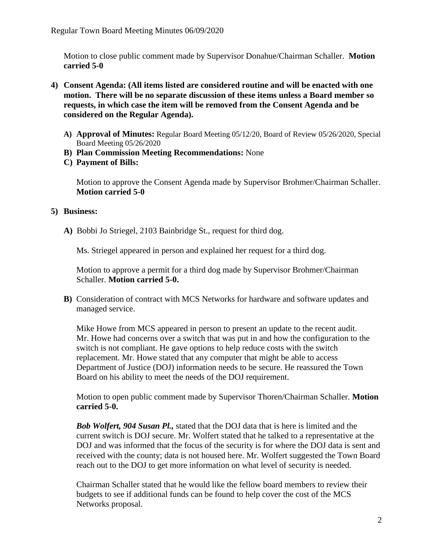Motion to close public comment made by Supervisor Donahue/Chairman Schaller. **Motion carried 5-0**

- **4) Consent Agenda: (All items listed are considered routine and will be enacted with one motion. There will be no separate discussion of these items unless a Board member so requests, in which case the item will be removed from the Consent Agenda and be considered on the Regular Agenda).**
	- **A) Approval of Minutes:** Regular Board Meeting 05/12/20, Board of Review 05/26/2020, Special Board Meeting 05/26/2020
	- **B) Plan Commission Meeting Recommendations:** None
	- **C) Payment of Bills:**

Motion to approve the Consent Agenda made by Supervisor Brohmer/Chairman Schaller. **Motion carried 5-0** 

#### **5) Business:**

**A)** Bobbi Jo Striegel, 2103 Bainbridge St., request for third dog.

Ms. Striegel appeared in person and explained her request for a third dog.

Motion to approve a permit for a third dog made by Supervisor Brohmer/Chairman Schaller. **Motion carried 5-0.**

**B)** Consideration of contract with MCS Networks for hardware and software updates and managed service.

Mike Howe from MCS appeared in person to present an update to the recent audit. Mr. Howe had concerns over a switch that was put in and how the configuration to the switch is not compliant. He gave options to help reduce costs with the switch replacement. Mr. Howe stated that any computer that might be able to access Department of Justice (DOJ) information needs to be secure. He reassured the Town Board on his ability to meet the needs of the DOJ requirement.

Motion to open public comment made by Supervisor Thoren/Chairman Schaller. **Motion carried 5-0.**

*Bob Wolfert, 904 Susan Pl.,* stated that the DOJ data that is here is limited and the current switch is DOJ secure. Mr. Wolfert stated that he talked to a representative at the DOJ and was informed that the focus of the security is for where the DOJ data is sent and received with the county; data is not housed here. Mr. Wolfert suggested the Town Board reach out to the DOJ to get more information on what level of security is needed.

Chairman Schaller stated that he would like the fellow board members to review their budgets to see if additional funds can be found to help cover the cost of the MCS Networks proposal.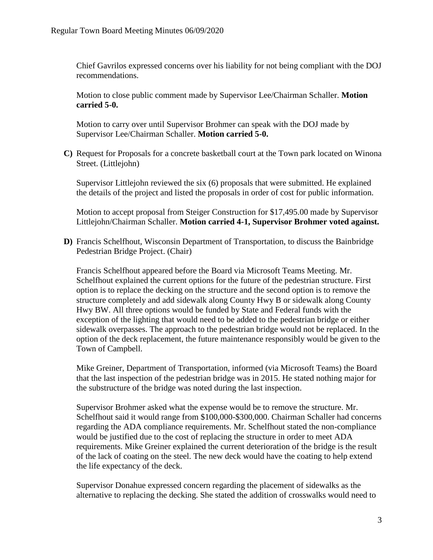Chief Gavrilos expressed concerns over his liability for not being compliant with the DOJ recommendations.

Motion to close public comment made by Supervisor Lee/Chairman Schaller. **Motion carried 5-0.**

Motion to carry over until Supervisor Brohmer can speak with the DOJ made by Supervisor Lee/Chairman Schaller. **Motion carried 5-0.**

**C)** Request for Proposals for a concrete basketball court at the Town park located on Winona Street. (Littlejohn)

Supervisor Littlejohn reviewed the six (6) proposals that were submitted. He explained the details of the project and listed the proposals in order of cost for public information.

Motion to accept proposal from Steiger Construction for \$17,495.00 made by Supervisor Littlejohn/Chairman Schaller. **Motion carried 4-1, Supervisor Brohmer voted against.**

**D)** Francis Schelfhout, Wisconsin Department of Transportation, to discuss the Bainbridge Pedestrian Bridge Project. (Chair)

Francis Schelfhout appeared before the Board via Microsoft Teams Meeting. Mr. Schelfhout explained the current options for the future of the pedestrian structure. First option is to replace the decking on the structure and the second option is to remove the structure completely and add sidewalk along County Hwy B or sidewalk along County Hwy BW. All three options would be funded by State and Federal funds with the exception of the lighting that would need to be added to the pedestrian bridge or either sidewalk overpasses. The approach to the pedestrian bridge would not be replaced. In the option of the deck replacement, the future maintenance responsibly would be given to the Town of Campbell.

Mike Greiner, Department of Transportation, informed (via Microsoft Teams) the Board that the last inspection of the pedestrian bridge was in 2015. He stated nothing major for the substructure of the bridge was noted during the last inspection.

Supervisor Brohmer asked what the expense would be to remove the structure. Mr. Schelfhout said it would range from \$100,000-\$300,000. Chairman Schaller had concerns regarding the ADA compliance requirements. Mr. Schelfhout stated the non-compliance would be justified due to the cost of replacing the structure in order to meet ADA requirements. Mike Greiner explained the current deterioration of the bridge is the result of the lack of coating on the steel. The new deck would have the coating to help extend the life expectancy of the deck.

Supervisor Donahue expressed concern regarding the placement of sidewalks as the alternative to replacing the decking. She stated the addition of crosswalks would need to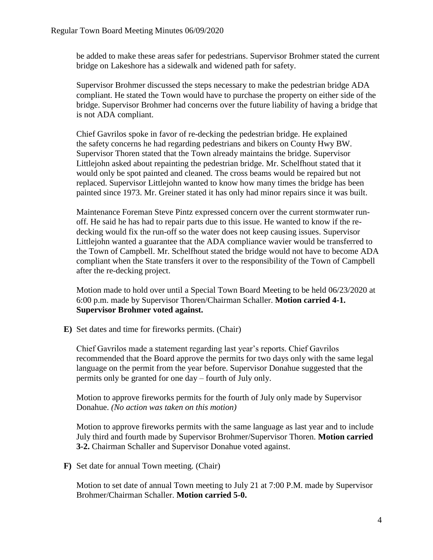be added to make these areas safer for pedestrians. Supervisor Brohmer stated the current bridge on Lakeshore has a sidewalk and widened path for safety.

Supervisor Brohmer discussed the steps necessary to make the pedestrian bridge ADA compliant. He stated the Town would have to purchase the property on either side of the bridge. Supervisor Brohmer had concerns over the future liability of having a bridge that is not ADA compliant.

Chief Gavrilos spoke in favor of re-decking the pedestrian bridge. He explained the safety concerns he had regarding pedestrians and bikers on County Hwy BW. Supervisor Thoren stated that the Town already maintains the bridge. Supervisor Littlejohn asked about repainting the pedestrian bridge. Mr. Schelfhout stated that it would only be spot painted and cleaned. The cross beams would be repaired but not replaced. Supervisor Littlejohn wanted to know how many times the bridge has been painted since 1973. Mr. Greiner stated it has only had minor repairs since it was built.

Maintenance Foreman Steve Pintz expressed concern over the current stormwater runoff. He said he has had to repair parts due to this issue. He wanted to know if the redecking would fix the run-off so the water does not keep causing issues. Supervisor Littlejohn wanted a guarantee that the ADA compliance wavier would be transferred to the Town of Campbell. Mr. Schelfhout stated the bridge would not have to become ADA compliant when the State transfers it over to the responsibility of the Town of Campbell after the re-decking project.

Motion made to hold over until a Special Town Board Meeting to be held 06/23/2020 at 6:00 p.m. made by Supervisor Thoren/Chairman Schaller. **Motion carried 4-1. Supervisor Brohmer voted against.**

**E)** Set dates and time for fireworks permits. (Chair)

Chief Gavrilos made a statement regarding last year's reports. Chief Gavrilos recommended that the Board approve the permits for two days only with the same legal language on the permit from the year before. Supervisor Donahue suggested that the permits only be granted for one day – fourth of July only.

Motion to approve fireworks permits for the fourth of July only made by Supervisor Donahue. *(No action was taken on this motion)*

Motion to approve fireworks permits with the same language as last year and to include July third and fourth made by Supervisor Brohmer/Supervisor Thoren. **Motion carried 3-2.** Chairman Schaller and Supervisor Donahue voted against.

**F)** Set date for annual Town meeting. (Chair)

Motion to set date of annual Town meeting to July 21 at 7:00 P.M. made by Supervisor Brohmer/Chairman Schaller. **Motion carried 5-0.**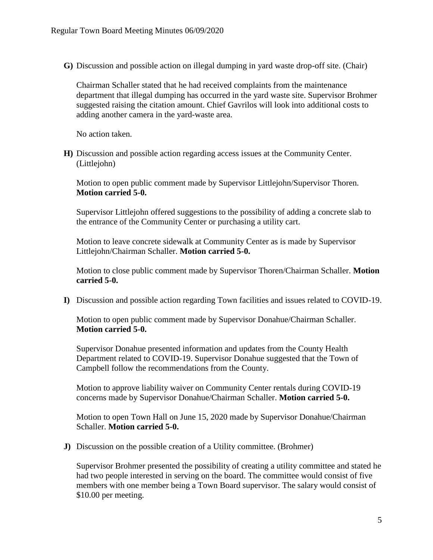**G)** Discussion and possible action on illegal dumping in yard waste drop-off site. (Chair)

Chairman Schaller stated that he had received complaints from the maintenance department that illegal dumping has occurred in the yard waste site. Supervisor Brohmer suggested raising the citation amount. Chief Gavrilos will look into additional costs to adding another camera in the yard-waste area.

No action taken.

**H)** Discussion and possible action regarding access issues at the Community Center. (Littlejohn)

Motion to open public comment made by Supervisor Littlejohn/Supervisor Thoren. **Motion carried 5-0.**

Supervisor Littlejohn offered suggestions to the possibility of adding a concrete slab to the entrance of the Community Center or purchasing a utility cart.

Motion to leave concrete sidewalk at Community Center as is made by Supervisor Littlejohn/Chairman Schaller. **Motion carried 5-0.**

Motion to close public comment made by Supervisor Thoren/Chairman Schaller. **Motion carried 5-0.**

**I)** Discussion and possible action regarding Town facilities and issues related to COVID-19.

Motion to open public comment made by Supervisor Donahue/Chairman Schaller. **Motion carried 5-0.**

Supervisor Donahue presented information and updates from the County Health Department related to COVID-19. Supervisor Donahue suggested that the Town of Campbell follow the recommendations from the County.

Motion to approve liability waiver on Community Center rentals during COVID-19 concerns made by Supervisor Donahue/Chairman Schaller. **Motion carried 5-0.**

Motion to open Town Hall on June 15, 2020 made by Supervisor Donahue/Chairman Schaller. **Motion carried 5-0.**

**J)** Discussion on the possible creation of a Utility committee. (Brohmer)

Supervisor Brohmer presented the possibility of creating a utility committee and stated he had two people interested in serving on the board. The committee would consist of five members with one member being a Town Board supervisor. The salary would consist of \$10.00 per meeting.